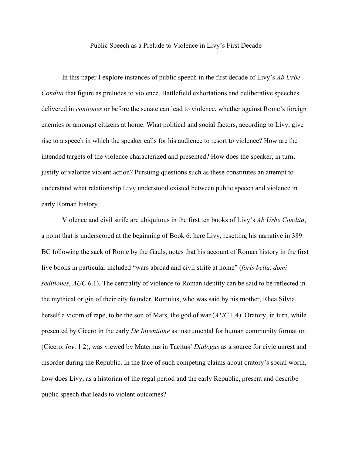## Public Speech as a Prelude to Violence in Livy's First Decade

In this paper I explore instances of public speech in the first decade of Livy's *Ab Urbe Condita* that figure as preludes to violence. Battlefield exhortations and deliberative speeches delivered in *contiones* or before the senate can lead to violence, whether against Rome's foreign enemies or amongst citizens at home. What political and social factors, according to Livy, give rise to a speech in which the speaker calls for his audience to resort to violence? How are the intended targets of the violence characterized and presented? How does the speaker, in turn, justify or valorize violent action? Pursuing questions such as these constitutes an attempt to understand what relationship Livy understood existed between public speech and violence in early Roman history.

Violence and civil strife are ubiquitous in the first ten books of Livy's *Ab Urbe Condita*, a point that is underscored at the beginning of Book 6: here Livy, resetting his narrative in 389 BC following the sack of Rome by the Gauls, notes that his account of Roman history in the first five books in particular included "wars abroad and civil strife at home" (*foris bella, domi seditiones*, *AUC* 6.1). The centrality of violence to Roman identity can be said to be reflected in the mythical origin of their city founder, Romulus, who was said by his mother, Rhea Silvia, herself a victim of rape, to be the son of Mars, the god of war (*AUC* 1.4). Oratory, in turn, while presented by Cicero in the early *De Inventione* as instrumental for human community formation (Cicero, *Inv*. 1.2), was viewed by Maternus in Tacitus' *Dialogus* as a source for civic unrest and disorder during the Republic. In the face of such competing claims about oratory's social worth, how does Livy, as a historian of the regal period and the early Republic, present and describe public speech that leads to violent outcomes?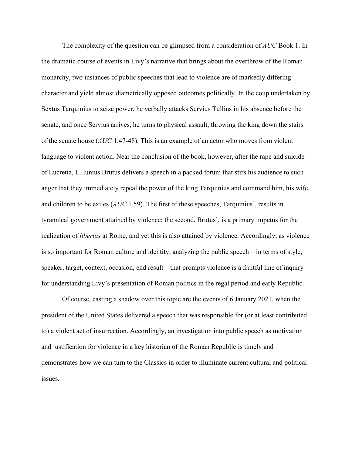The complexity of the question can be glimpsed from a consideration of *AUC* Book 1. In the dramatic course of events in Livy's narrative that brings about the overthrow of the Roman monarchy, two instances of public speeches that lead to violence are of markedly differing character and yield almost diametrically opposed outcomes politically. In the coup undertaken by Sextus Tarquinius to seize power, he verbally attacks Servius Tullius in his absence before the senate, and once Servius arrives, he turns to physical assault, throwing the king down the stairs of the senate house (*AUC* 1.47-48). This is an example of an actor who moves from violent language to violent action. Near the conclusion of the book, however, after the rape and suicide of Lucretia, L. Iunius Brutus delivers a speech in a packed forum that stirs his audience to such anger that they immediately repeal the power of the king Tarquinius and command him, his wife, and children to be exiles (*AUC* 1.59). The first of these speeches, Tarquinius', results in tyrannical government attained by violence; the second, Brutus', is a primary impetus for the realization of *libertas* at Rome, and yet this is also attained by violence. Accordingly, as violence is so important for Roman culture and identity, analyzing the public speech—in terms of style, speaker, target, context, occasion, end result—that prompts violence is a fruitful line of inquiry for understanding Livy's presentation of Roman politics in the regal period and early Republic.

Of course, casting a shadow over this topic are the events of 6 January 2021, when the president of the United States delivered a speech that was responsible for (or at least contributed to) a violent act of insurrection. Accordingly, an investigation into public speech as motivation and justification for violence in a key historian of the Roman Republic is timely and demonstrates how we can turn to the Classics in order to illuminate current cultural and political issues.